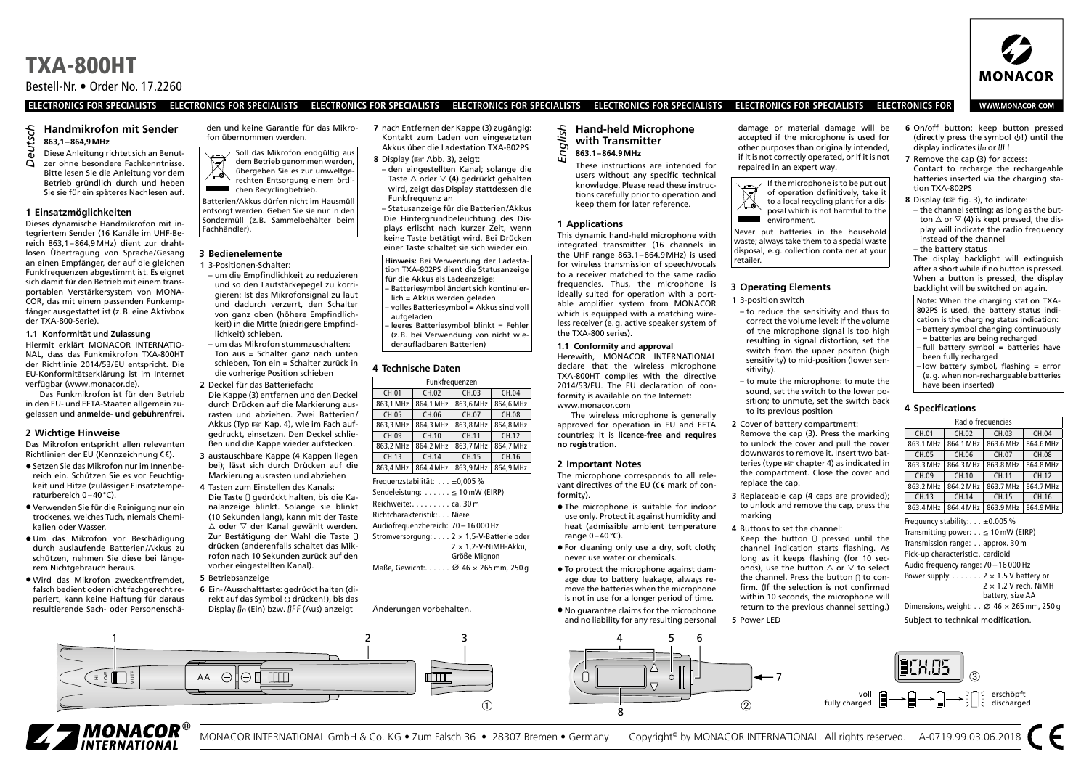Bestell-Nr. • Order No. 17.2260

#### **ELECTRONICS FOR SPECIALISTS ELECTRONICS FOR SPECIALISTS ELECTRONICS FOR SPECIALISTS ELECTRONICS FOR SPECIALISTS ELECTRONICS FOR SPECIALISTS ELECTRONICS FOR SPECIALISTS ELECTRONICS FOR**

#### **Handmikrofon mit Sender 863,1–864,9MHz**

Diese Anleitung richtet sich an Benutzer ohne besondere Fachkenntnisse. Bitte lesen Sie die Anleitung vor dem Betrieb gründlich durch und heben Sie sie für ein späteres Nachlesen auf. *Deutsch*

#### **1 Einsatzmöglichkeiten**

Dieses dynamische Handmikrofon mit integriertem Sender (16 Kanäle im UHF-Bereich 863,1–864,9MHz) dient zur drahtlosen Übertragung von Sprache /Gesang an einen Empfänger, der auf die gleichen Funkfrequenzen abgestimmt ist. Es eignet sich damit für den Betrieb mit einem transportablen Verstärkersystem von MONA-COR, das mit einem passenden Funkempfänger ausgestattet ist (z.B. eine Aktivbox der TXA-800-Serie).

#### **1.1 Konformität und Zulassung**

Hiermit erklärt MONACOR INTERNATIO-NAL, dass das Funkmikrofon TXA-800HT der Richtlinie 2014/53/EU entspricht. Die EU-Konformitätserklärung ist im Internet verfügbar (www.monacor.de).

Das Funkmikrofon ist für den Betrieb in den EU- und EFTA-Staaten allgemein zugelassen und **anmelde- und gebührenfrei.**

#### **2 Wichtige Hinweise**

Das Mikrofon entspricht allen relevanten Richtlinien der EU (Kennzeichnung CE).

- Setzen Sie das Mikrofon nur im Innenbereich ein. Schützen Sie es vor Feuchtigkeit und Hitze (zulässiger Einsatztemperaturbereich 0–40°C).
- Verwenden Sie für die Reinigung nur ein trockenes, weiches Tuch, niemals Chemikalien oder Wasser.
- Um das Mikrofon vor Beschädigung durch auslaufende Batterien /Akkus zu schützen, nehmen Sie diese bei längerem Nichtgebrauch heraus.
- Wird das Mikrofon zweckentfremdet, falsch bedient oder nicht fachgerecht repariert, kann keine Haftung für daraus resultierende Sach- oder Personenschä-

den und keine Garantie für das Mikrofon übernommen werden.

Soll das Mikrofon endgültig aus dem Betrieb genommen werden, übergeben Sie es zur umweltge-⋌ふ rechten Entsorgung einem örtli-**CONTRACT** chen Recyclingbetrieb.

Batterien /Akkus dürfen nicht im Hausmüll entsorgt werden. Geben Sie sie nur in den Sondermüll (z.B. Sammelbehälter beim Fachhändler).

#### **3 Bedienelemente**

- **1** 3-Positionen-Schalter:
- um die Empfindlichkeit zu reduzieren und so den Lautstärkepegel zu korrigieren: Ist das Mikrofonsignal zu laut und dadurch verzerrt, den Schalter von ganz oben (höhere Empfindlichkeit) in die Mitte (niedrigere Empfindlichkeit) schieben.
- um das Mikrofon stummzuschalten: Ton aus = Schalter ganz nach unten schieben, Ton ein = Schalter zurück in die vorherige Position schieben **2** Deckel für das Batteriefach:
- Die Kappe (3) entfernen und den Deckel durch Drücken auf die Markierung ausrasten und abziehen. Zwei Batterien / Akkus (Typ ☞ Kap. 4), wie im Fach aufgedruckt, einsetzen. Den Deckel schließen und die Kappe wieder aufstecken.
- **3** austauschbare Kappe (4 Kappen liegen bei); lässt sich durch Drücken auf die Markierung ausrasten und abziehen
- **4** Tasten zum Einstellen des Kanals: Die Taste [] gedrückt halten, bis die Kanalanzeige blinkt. Solange sie blinkt (10 Sekunden lang), kann mit der Taste  $\triangle$  oder  $\nabla$  der Kanal gewählt werden. Zur Bestätigung der Wahl die Taste drücken (anderenfalls schaltet das Mikrofon nach 10 Sekunden zurück auf den vorher eingestellten Kanal).
- **5** Betriebsanzeige
- **6** Ein-/Ausschalttaste: gedrückt halten (direkt auf das Symbol & drücken!), bis das Display  $\ln$  (Ein) bzw.  $\int$ FF (Aus) anzeigt

**7** nach Entfernen der Kappe (3) zugängig: Kontakt zum Laden von eingesetzten Akkus über die Ladestation TXA-802PS **8** Display (☞ Abb. 3), zeigt:

– den eingestellten Kanal; solange die Taste △ oder ▽ (4) gedrückt gehalten wird, zeigt das Display stattdessen die Funkfrequenz an

– Statusanzeige für die Batterien /Akkus Die Hintergrundbeleuchtung des Displays erlischt nach kurzer Zeit, wenn keine Taste betätigt wird. Bei Drücken einer Taste schaltet sie sich wieder ein. **Hinweis:** Bei Verwendung der Ladestation TXA-802PS dient die Statusanzeige

- für die Akkus als Ladeanzeige: – Batteriesymbol ändert sich kontinuier-
- lich = Akkus werden geladen – volles Batteriesymbol = Akkus sind voll
- aufgeladen – leeres Batteriesymbol blinkt = Fehler
- (z.B. bei Verwendung von nicht wiederaufladbaren Batterien)

#### **4 Technische Daten**

| Funkfrequenzen               |           |           |           |  |
|------------------------------|-----------|-----------|-----------|--|
| CH.01                        | CH.02     | CH.04     |           |  |
| 863.1 MHz                    | 864.1 MHz | 863.6 MHz | 864.6 MHz |  |
| CH.05                        | CH.06     | CH.07     | CH.08     |  |
| 863.3 MHz                    | 864.3 MHz | 863.8 MHz | 864,8 MHz |  |
| CH.09                        | CH.10     | CH.11     | CH.12     |  |
| 863.2 MHz                    | 864.2 MHz | 863.7 MHz | 864,7 MHz |  |
| CH.13                        | CH.14     | CH.15     | CH.16     |  |
| 863.4 MHz                    | 864.4 MHz | 863.9 MHz | 864.9 MHz |  |
| Frequenzstabilität: ±0,005 % |           |           |           |  |

Sendeleistung: . . . . . . ≤ 10 mW (EIRP) Reichweite: . . . . . . . . . ca. 30 m Richtcharakteristik: . . . Niere Audiofrequenzbereich: 70 – 16 000 Hz Stromversorgung: . . . . 2 × 1,5-V-Batterie oder  $2 \times 1.2$ -V-NiMH-Akku. Größe Mignon

Änderungen vorbehalten.

Maße, Gewicht:  $\sigma$  46 × 265 mm, 250 g

## **Hand-held Microphone with Transmitter** *English*

- **863.1–864.9MHz**
- These instructions are intended for users without any specific technical

### **1 Applications**

This dynamic hand-held microphone with integrated transmitter (16 channels in the UHF range 863.1–864.9MHz) is used for wireless transmission of speech/vocals to a receiver matched to the same radio frequencies. Thus, the microphone is ideally suited for operation with a portable amplifier system from MONACOR which is equipped with a matching wireless receiver (e.g. active speaker system of the TXA-800 series).

knowledge. Please read these instructions carefully prior to operation and keep them for later reference.

#### **1.1 Conformity and approval** Herewith, MONACOR INTERNATIONAL declare that the wireless microphone TXA-800HT complies with the directive 2014/53/EU. The EU declaration of conformity is available on the Internet:

www.monacor.com The wireless microphone is generally approved for operation in EU and EFTA countries; it is **licence-free and requires no registration**.

#### **2 Important Notes**

The microphone corresponds to all relevant directives of the EU ( $C \in \mathbb{R}$  mark of conformity).

- The microphone is suitable for indoor use only. Protect it against humidity and heat (admissible ambient temperature range 0–40°C).
- For cleaning only use a dry, soft cloth; never use water or chemicals.
- To protect the microphone against damage due to battery leakage, always remove the batteries when the microphone is not in use for a longer period of time. • No guarantee claims for the microphone and no liability for any resulting personal



damage or material damage will be accepted if the microphone is used for other purposes than originally intended, if it is not correctly operated, or if it is not repaired in an expert way.



Never put batteries in the household waste; always take them to a special waste disposal, e.g. collection container at your retailer.

#### **3 Operating Elements**

- **1** 3-position switch – to reduce the sensitivity and thus to correct the volume level: If the volume of the microphone signal is too high resulting in signal distortion, set the switch from the upper positon (high sensitivity) to mid-position (lower sensitivity).
- to mute the microphone: to mute the sound, set the switch to the lower position; to unmute, set the switch back to its previous position
- **2** Cover of battery compartment: Remove the cap (3). Press the marking to unlock the cover and pull the cover downwards to remove it. Insert two batteries (type ☞ chapter 4) as indicated in the compartment. Close the cover and replace the cap.
- **3** Replaceable cap (4 caps are provided); to unlock and remove the cap, press the marking
- **4** Buttons to set the channel:
- Keep the button  $\Box$  pressed until the channel indication starts flashing. As long as it keeps flashing (for 10 seconds), use the button  $\triangle$  or  $\nabla$  to select the channel. Press the button  $\Box$  to confirm. (If the selection is not confirmed within 10 seconds, the microphone will return to the previous channel setting.)

voll fully charged

**5** Power LED

7

**6** On/off button: keep button pressed (directly press the symbol  $\circ$ !) until the display indicates  $\mathbb{G}_n$  or  $\mathbb{G} \mathsf{F} \mathsf{F}$ 

**7** Remove the cap (3) for access: Contact to recharge the rechargeable batteries inserted via the charging station TXA-802PS

- **8** Display (☞ fig. 3), to indicate:
- the channel setting; as long as the button  $\triangle$  or  $\nabla$  (4) is kept pressed, the display will indicate the radio frequency instead of the channel

– the battery status The display backlight will extinguish

after a short while if no button is pressed. When a button is pressed, the display backlight will be switched on again.

**Note:** When the charging station TXA-802PS is used, the battery status indication is the charging status indication: – battery symbol changing continuously = batteries are being recharged – full battery symbol = batteries have been fully recharged – low battery symbol, flashing = error (e.g. when non-rechargeable batteries have been inserted)

#### **4 Specifications**

| Radio frequencies                                                                                                                                                                                                                                                                                                                                                                                            |           |              |              |  |  |
|--------------------------------------------------------------------------------------------------------------------------------------------------------------------------------------------------------------------------------------------------------------------------------------------------------------------------------------------------------------------------------------------------------------|-----------|--------------|--------------|--|--|
| CH.01                                                                                                                                                                                                                                                                                                                                                                                                        | CH.02     | CH.03        | CH.04        |  |  |
| 863.1 MHz                                                                                                                                                                                                                                                                                                                                                                                                    | 864.1 MHz |              | 864.6 MHz    |  |  |
| CH 05                                                                                                                                                                                                                                                                                                                                                                                                        | CH 06     | CH 07        | <b>CH 08</b> |  |  |
| 863.3 MHz                                                                                                                                                                                                                                                                                                                                                                                                    | 864.3 MHz | 863.8 MHz    | 864.8 MHz    |  |  |
| CH.09                                                                                                                                                                                                                                                                                                                                                                                                        | CH 10     | <b>CH 11</b> | CH.12        |  |  |
| 863 2 MHz                                                                                                                                                                                                                                                                                                                                                                                                    | 864.2 MHz | 863 7 MHz    | 864.7 MHz    |  |  |
| CH.13                                                                                                                                                                                                                                                                                                                                                                                                        | CH.14     | CH.15        | CH.16        |  |  |
| 863.4 MHz                                                                                                                                                                                                                                                                                                                                                                                                    | 864.4 MHz | 863.9 MHz    | 864.9 MHz    |  |  |
| Frequency stability: $\pm 0.005$ %<br>Transmitting power: $\leq 10$ mW (EIRP)<br>Transmission range: approx. 30 m<br>Pick-up characteristic:. cardioid<br>Audio frequency range: 70 - 16 000 Hz<br>Power supply: $\dots$ 2 $\times$ 1.5 V battery or<br>$2 \times 1.2$ V rech. NiMH<br>battery, size AA<br>Dimensions, weight: $\varnothing$ 46 $\times$ 265 mm, 250 g<br>Subject to technical modification. |           |              |              |  |  |

➂

erschöpft discharged





## **WWW.MONACOR.COM**

**MONACOR**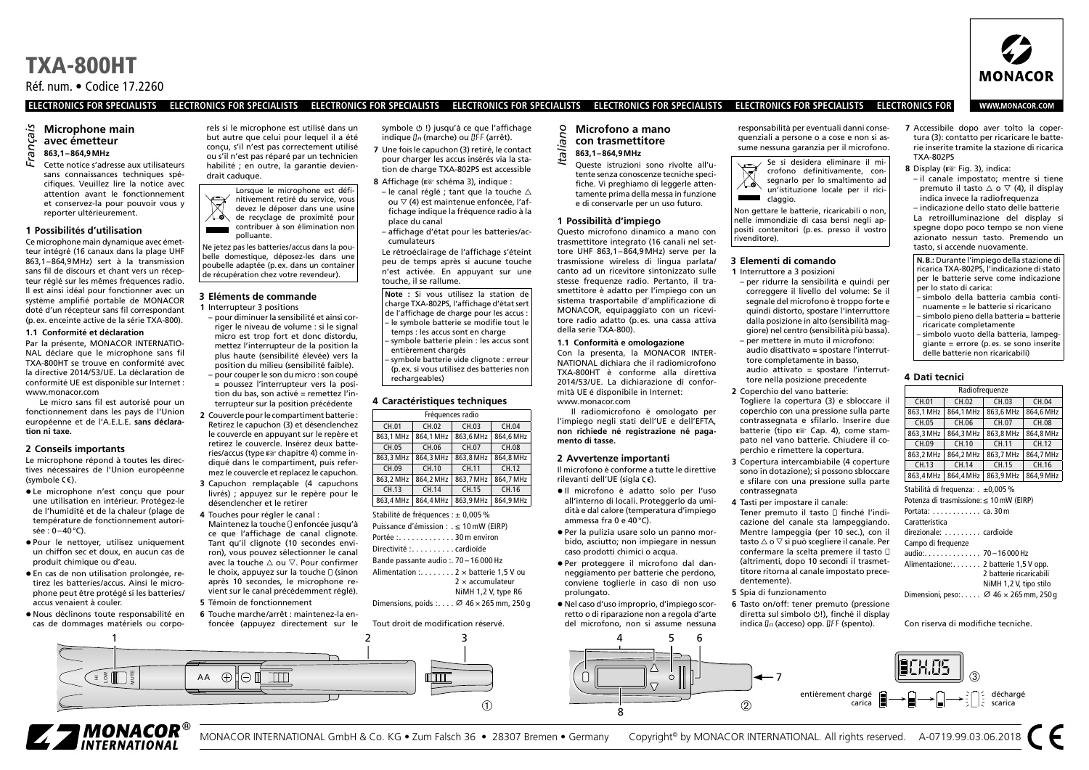Réf. num. • Codice 17.2260

#### **ELECTRONICS FOR SPECIALISTS ELECTRONICS FOR SPECIALISTS ELECTRONICS FOR SPECIALISTS ELECTRONICS FOR SPECIALISTS ELECTRONICS FOR SPECIALISTS ELECTRONICS FOR SPECIALISTS ELECTRONICS FOR**

## **Microphone main avec émetteur**

## **863,1–864,9MHz** *Français*

Cette notice s'adresse aux utilisateurs sans connaissances techniques spécifiques. Veuillez lire la notice avec attention avant le fonctionnement et conservez-la pour pouvoir vous y reporter ultérieurement.

#### **1 Possibilités d'utilisation**

Ce microphone main dynamique avec émetteur intégré (16 canaux dans la plage UHF 863,1–864,9MHz) sert à la transmission sans fil de discours et chant vers un récepteur réglé sur les mêmes fréquences radio. Il est ainsi idéal pour fonctionner avec un système amplifié portable de MONACOR doté d'un récepteur sans fil correspondant (p.ex. enceinte active de la série TXA-800).

#### **1.1 Conformité et déclaration**

Par la présente, MONACOR INTERNATIO-NAL déclare que le microphone sans fil TXA-800HT se trouve en conformité avec la directive 2014/53/UE. La déclaration de conformité UE est disponible sur Internet : www.monacor.com

Le micro sans fil est autorisé pour un fonctionnement dans les pays de l'Union européenne et de l'A.E.L.E. **sans déclaration ni taxe.**

#### **2 Conseils importants**

Le microphone répond à toutes les directives nécessaires de l'Union européenne (symbole  $(\epsilon)$ ).

- Le microphone n'est conçu que pour une utilisation en intérieur. Protégez-le de l'humidité et de la chaleur (plage de température de fonctionnement autori $s$ ée  $\cdot$  0–40 $^{\circ}$ C).
- Pour le nettoyer, utilisez uniquement un chiffon sec et doux, en aucun cas de produit chimique ou d'eau.
- En cas de non utilisation prolongée, retirez les batteries /accus. Ainsi le microphone peut être protégé si les batteries/ accus venaient à couler.
- Nous déclinons toute responsabilité en cas de dommages matériels ou corpo-

rels si le microphone est utilisé dans un but autre que celui pour lequel il a été conçu, s'il n'est pas correctement utilisé ou s'il n'est pas réparé par un technicien habilité : en outre, la garantie deviendrait caduque.

Lorsque le microphone est définitivement retiré du service, vous devez le déposer dans une usine ⋌⋋ de recyclage de proximité pour contribuer à son élimination non polluante.

Ne jetez pas les batteries /accus dans la poubelle domestique, déposez-les dans une poubelle adaptée (p.ex. dans un container de récupération chez votre revendeur).

#### **3 Eléments de commande**

**1** Interrupteur 3 positions

- pour diminuer la sensibilité et ainsi corriger le niveau de volume : si le signal micro est trop fort et donc distordu, mettez l'interrupteur de la position la plus haute (sensibilité élevée) vers la position du milieu (sensibilité faible). – pour couper le son du micro : son coupé = poussez l'interrupteur vers la posi-
- tion du bas, son activé = remettez l'interrupteur sur la position précédente

**2** Couvercle pour le compartiment batterie : Retirez le capuchon (3) et désenclenchez le couvercle en appuyant sur le repère et retirez le couvercle. Insérez deux batteries/accus (type ☞ chapitre 4) comme indiqué dans le compartiment, puis refermez le couvercle et replacez le capuchon.

- **3** Capuchon remplaçable (4 capuchons livrés) ; appuyez sur le repère pour le désenclencher et le retirer
- **4** Touches pour régler le canal : Maintenez la touche <sup>D</sup>enfoncée jusqu'à ce que l'affichage de canal clignote. Tant qu'il clignote (10 secondes environ), vous pouvez sélectionner le canal avec la touche △ ou ▽. Pour confirmer le choix, appuyez sur la touche  $\Box$  (sinon après 10 secondes, le microphone revient sur le canal précédemment réglé). **5** Témoin de fonctionnement
- **6** Touche marche /arrêt : maintenez-la en-

 $AA$   $\oplus$   $\blacksquare$ 

foncée (appuyez directement sur le

symbole  $\cup$  !) jusqu'à ce que l'affichage  $indique$   $\theta_n$  (marche) ou  $\theta$ FF (arrêt).

- **7** Une fois le capuchon (3) retiré, le contact pour charger les accus insérés via la station de charge TXA-802PS est accessible
- **8** Affichage (☞ schéma 3), indique :
- le canal réglé ; tant que la touche  $\triangle$ ou ▽ (4) est maintenue enfoncée, l'affichage indique la fréquence radio à la place du canal
- affichage d'état pour les batteries/accumulateurs

Le rétroéclairage de l'affichage s'éteint peu de temps après si aucune touche n'est activée. En appuyant sur une touche, il se rallume.

**Note :** Si vous utilisez la station de charge TXA-802PS, l'affichage d'état sert de l'affichage de charge pour les accus : – le symbole batterie se modifie tout le temps : les accus sont en charge – symbole batterie plein : les accus sont entièrement chargés symbole batterie vide clignote : erreur

(p.ex. si vous utilisez des batteries non rechargeables)

#### **4 Caractéristiques techniques**

| Fréquences radio |           |           |           |  |
|------------------|-----------|-----------|-----------|--|
| CH.01            | CH.02     | CH.03     | CH.04     |  |
| 863.1 MHz        | 864.1 MHz | 863.6 MHz | 864.6 MHz |  |
| CH.05            | CH.06     | CH.07     | CH.08     |  |
| 863.3 MHz        | 864.3 MHz | 863.8 MHz | 864.8 MHz |  |
| CH.09            | CH.10     | CH.11     | CH.12     |  |
| 863.2 MHz        | 864.2 MHz | 863.7 MHz | 864.7 MHz |  |
| CH.13            | CH.14     | CH.15     | CH.16     |  |
| 863.4 MHz        | 864.4 MHz | 863.9 MHz | 864.9 MHz |  |

Stabilité de fréquences : ± 0,005 % Puissance d'émission : . ≤ 10 mW (EIRP) Portée : . . . . . . . . . . . . . 30 m environ Directivité :......... cardioïde Bande passante audio : . 70 – 16 000 Hz Alimentation :........ 2 x batterie 1,5 V ou 2 × accumulateur NiMH 1,2 V, type R6 Dimensions, poids : . . . .  $\varnothing$  46  $\times$  265 mm, 250 g

#### Tout droit de modification réservé.

rim

1 2 3 4 5 6

## **Microfono a mano con trasmettitore** *Italiano*

**863,1–864,9MHz**

**1 Possibilità d'impiego**

della serie TXA-800).

www.monacor.com

**2 Avvertenze importanti**

rilevanti dell'UE (sigla CE).

ammessa fra 0 e 40°C).

**mento di tasse.**

prolungato.

**1.1 Conformità e omologazione** Con la presenta, la MONACOR INTER-NATIONAL dichiara che il radiomicrofono TXA-800HT è conforme alla direttiva 2014/53/UE. La dichiarazione di conformità UE é disponibile in Internet:

Il radiomicrofono è omologato per l'impiego negli stati dell'UE e dell'EFTA, **non richiede né registrazione né paga-**

Il microfono è conforme a tutte le direttive

• Il microfono è adatto solo per l'uso all'interno di locali. Proteggerlo da umidità e dal calore (temperatura d'impiego

• Per la pulizia usare solo un panno morbido, asciutto; non impiegare in nessun caso prodotti chimici o acqua. • Per proteggere il microfono dal danneggiamento per batterie che perdono, conviene toglierle in caso di non uso

• Nel caso d'uso improprio, d'impiego scorretto o di riparazione non a regola d'arte del microfono, non si assume nessuna

 $\Omega$ 

fiche. Vi preghiamo di leggerle attentamente prima della messa in funzione e di conservarle per un uso futuro.

Questo microfono dinamico a mano con trasmettitore integrato (16 canali nel settore UHF 863,1–864,9MHz) serve per la trasmissione wireless di lingua parlata/ canto ad un ricevitore sintonizzato sulle stesse frequenze radio. Pertanto, il trasmettitore è adatto per l'impiego con un sistema trasportabile d'amplificazione di MONACOR, equipaggiato con un ricevitore radio adatto (p.es. una cassa attiva

Queste istruzioni sono rivolte all'utente senza conoscenze tecniche speci-

responsabilità per eventuali danni consequenziali a persone o a cose e non si assume nessuna garanzia per il microfono.



Non gettare le batterie, ricaricabili o non, nelle immondizie di casa bensì negli appositi contenitori (p.es. presso il vostro rivenditore).

#### **3 Elementi di comando**

- **1** Interruttore a 3 posizioni
- per ridurre la sensibilità e quindi per correggere il livello del volume: Se il segnale del microfono è troppo forte e quindi distorto, spostare l'interruttore dalla posizione in alto (sensibilità maggiore) nel centro (sensibilità più bassa).
- per mettere in muto il microfono: audio disattivato = spostare l'interruttore completamente in basso, audio attivato = spostare l'interruttore nella posizione precedente
- **2** Coperchio del vano batterie: Togliere la copertura (3) e sbloccare il coperchio con una pressione sulla parte contrassegnata e sfilarlo. Inserire due batterie (tipo ☞ Cap. 4), come stampato nel vano batterie. Chiudere il coperchio e rimettere la copertura.
- **3** Copertura intercambiabile (4 coperture sono in dotazione); si possono sbloccare e sfilare con una pressione sulla parte contrassegnata
- **4** Tasti per impostare il canale: Tener premuto il tasto [] finché l'indicazione del canale sta lampeggiando. Mentre lampeggia (per 10 sec.), con il tasto △ o ▽ si può scegliere il canale. Per confermare la scelta premere il tasto (altrimenti, dopo 10 secondi il trasmettitore ritorna al canale impostato precedentemente).
- **5** Spia di funzionamento

7

**6** Tasto on/off: tener premuto (pressione diretta sul simbolo (1), finché il display indica  $\ln$  (acceso) opp. IFF (spento).

**7** Accessibile dopo aver tolto la copertura (3): contatto per ricaricare le batterie inserite tramite la stazione di ricarica TXA-802PS

- **8** Display (☞ Fig. 3), indica:
- il canale impostato; mentre si tiene premuto il tasto  $\wedge$  o  $\nabla$  (4), il display indica invece la radiofrequenza

– indicazione dello stato delle batterie La retroilluminazione del display si spegne dopo poco tempo se non viene azionato nessun tasto. Premendo un tasto, si accende nuovamente.

- **N.B.:** Durante l'impiego della stazione di ricarica TXA-802PS, l'indicazione di stato  $\mid$  per le batterie serve come indicazione per lo stato di carica: – simbolo della batteria cambia conti-
- nuamente = le batterie si ricaricano – simbolo pieno della batteria = batterie ricaricate completamente
- simbolo vuoto della batteria, lampeggiante = errore (p.es. se sono inserite delle batterie non ricaricabili)

#### **4 Dati tecnici**

| Radiofrequenze                                            |           |           |           |  |  |
|-----------------------------------------------------------|-----------|-----------|-----------|--|--|
| CH.01                                                     | CH.02     |           | CH.04     |  |  |
| 863,1 MHz                                                 | 864.1 MHz | 863.6 MHz | 864.6 MHz |  |  |
| CH.05                                                     | CH.06     | CH.07     | CH.08     |  |  |
| 863.3 MHz                                                 | 864,3 MHz | 863.8 MHz | 864.8 MHz |  |  |
| CH.09                                                     | CH.10     | CH.11     | CH.12     |  |  |
| 863.2 MHz                                                 | 864.2 MHz | 863,7 MHz | 864.7 MHz |  |  |
| CH.13                                                     | CH.14     | CH.15     | CH.16     |  |  |
| 863.4 MHz                                                 | 864.4 MHz | 863.9 MHz | 864.9 MHz |  |  |
| Stabilità di frequenza: . ±0,005 %                        |           |           |           |  |  |
| Potenza di trasmissione: ≤ 10 mW (EIRP)                   |           |           |           |  |  |
| Portata: ca. 30 m                                         |           |           |           |  |  |
| Caratteristica                                            |           |           |           |  |  |
| direzionale: cardioide                                    |           |           |           |  |  |
| Campo di freguenze                                        |           |           |           |  |  |
| audio: 70-16 000 Hz                                       |           |           |           |  |  |
| Alimentazione: 2 batterie 1,5 V opp.                      |           |           |           |  |  |
| 2 batterie ricaricabili                                   |           |           |           |  |  |
| NiMH 1,2 V, tipo stilo                                    |           |           |           |  |  |
| Dimensioni, peso: $\varnothing$ 46 $\times$ 265 mm, 250 g |           |           |           |  |  |
|                                                           |           |           |           |  |  |

Con riserva di modifiche tecniche.





= §@D

MONACOR INTERNATIONAL GmbH & Co. KG • Zum Falsch 36 • 28307 Bremen • Germany Copyright® by MONACOR INTERNATIONAL. All rights reserved. A-0719.99.03.06.2018

➀ <sup>8</sup> ➁



**WWW.MONACOR.COM** 

**MONACOR**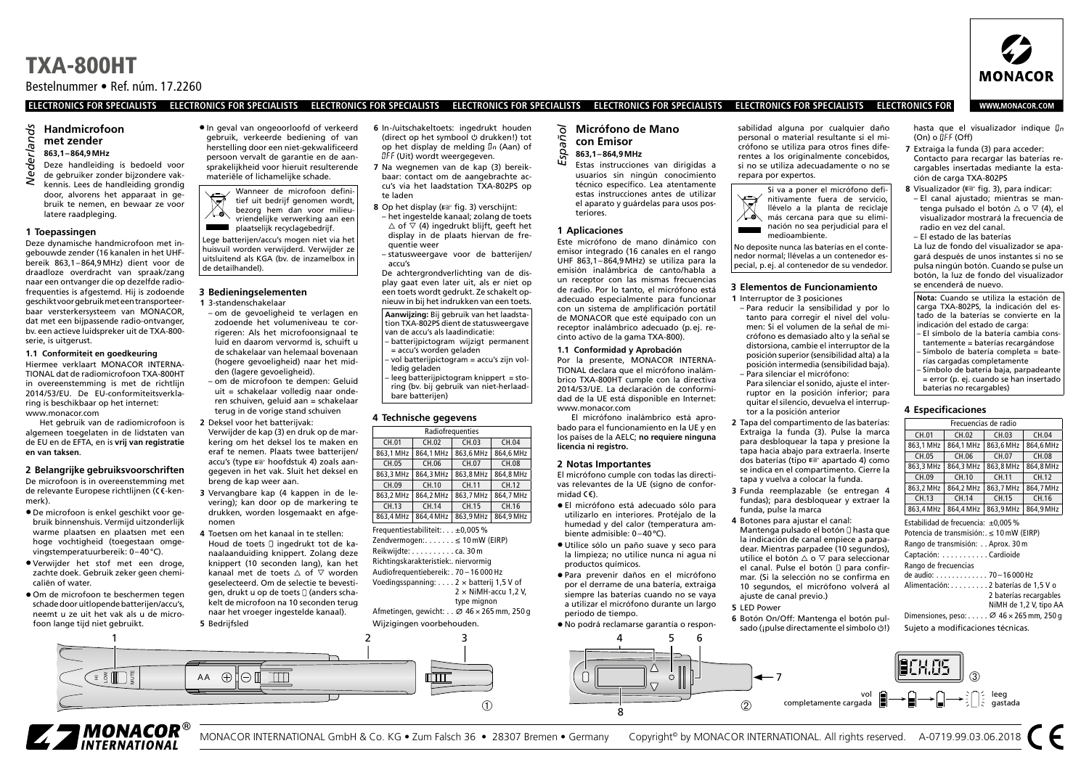Bestelnummer • Ref. núm. 17.2260

#### **ELECTRONICS FOR SPECIALISTS ELECTRONICS FOR SPECIALISTS ELECTRONICS FOR SPECIALISTS ELECTRONICS FOR SPECIALISTS ELECTRONICS FOR SPECIALISTS ELECTRONICS FOR SPECIALISTS ELECTRONICS FOR**

## **Handmicrofoon met zender**

## **863,1–864,9MHz**

- Nederlands *Nederlands* Deze handleiding is bedoeld voor de gebruiker zonder bijzondere vak-
- kennis. Lees de handleiding grondig door, alvorens het apparaat in gebruik te nemen, en bewaar ze voor latere raadpleging.

#### **1 Toepassingen**

Deze dynamische handmicrofoon met ingebouwde zender (16 kanalen in het UHFbereik 863,1–864,9MHz) dient voor de draadloze overdracht van spraak/zang naar een ontvanger die op dezelfde radiofrequenties is afgestemd. Hij is zodoende geschikt voor gebruik met een transporteerbaar versterkersysteem van MONACOR, dat met een bijpassende radio-ontvanger, bv. een actieve luidspreker uit de TXA-800 serie, is uitgerust.

#### **1.1 Conformiteit en goedkeuring** Hiermee verklaart MONACOR INTERNA-TIONAL dat de radiomicrofoon TXA-800HT in overeenstemming is met de richtlijn

2014 /53/EU. De EU-conformiteitsverklaring is beschikbaar op het internet: www.monacor.com

Het gebruik van de radiomicrofoon is algemeen toegelaten in de lidstaten van de EU en de EFTA, en is **vrij van registratie en van taksen**.

#### **2 Belangrijke gebruiksvoorschriften** De microfoon is in overeenstemming met

de relevante Europese richtlijnen (CE-kenmerk).

- De microfoon is enkel geschikt voor gebruik binnenshuis. Vermijd uitzonderlijk warme plaatsen en plaatsen met een hoge vochtigheid (toegestaan omgevingstemperatuurbereik: 0–40°C).
- Verwijder het stof met een droge, zachte doek. Gebruik zeker geen chemicaliën of water.
- Om de microfoon te beschermen tegen schade door uitlopende batterijen/accu's, neemt u ze uit het vak als u de microfoon lange tijd niet gebruikt.

• In geval van ongeoorloofd of verkeerd gebruik, verkeerde bediening of van herstelling door een niet-gekwalificeerd persoon vervalt de garantie en de aansprakelijkheid voor hieruit resulterende materiële of lichamelijke schade.

> Wanneer de microfoon definitief uit bedrijf genomen wordt, bezorg hem dan voor milieuvriendelijke verwerking aan een plaatselijk recyclagebedrijf.

Lege batterijen/accu's mogen niet via het huisvuil worden verwijderd. Verwijder ze uitsluitend als KGA (bv. de inzamelbox in de detailhandel).

### **3 Bedieningselementen**

**1** 3-standenschakelaar

- om de gevoeligheid te verlagen en zodoende het volumeniveau te corrigeren: Als het microfoonsignaal te luid en daarom vervormd is, schuift u de schakelaar van helemaal bovenaan (hogere gevoeligheid) naar het midden (lagere gevoeligheid).
- om de microfoon te dempen: Geluid uit = schakelaar volledig naar onderen schuiven, geluid aan = schakelaar terug in de vorige stand schuiven
- **2** Deksel voor het batterijvak: Verwijder de kap (3) en druk op de markering om het deksel los te maken en eraf te nemen. Plaats twee batterijen/ accu's (type ☞ hoofdstuk 4) zoals aangegeven in het vak. Sluit het deksel en breng de kap weer aan.
- **3** Vervangbare kap (4 kappen in de levering); kan door op de markering te drukken, worden losgemaakt en afgenomen
- **4** Toetsen om het kanaal in te stellen: Houd de toets [] ingedrukt tot de kanaalaanduiding knippert. Zolang deze knippert (10 seconden lang), kan het kanaal met de toets  $\triangle$  of  $\overline{\vee}$  worden geselecteerd. Om de selectie te bevestigen, drukt u op de toets [] (anders schakelt de microfoon na 10 seconden terug naar het vroeger ingestelde kanaal). **5** Bedrijfsled
- **6** In-/uitschakeltoets: ingedrukt houden (direct op het symbool  $\circlearrowleft$  drukken!) tot op het display de melding (Aan) of  $IIF$  (Uit) wordt weergegeven.
- **7** Na wegnemen van de kap (3) bereikbaar: contact om de aangebrachte accu's via het laadstation TXA-802PS op te laden
- **8** Op het display (☞ fig. 3) verschijnt: – het ingestelde kanaal; zolang de toets  $\wedge$  of  $\overline{\vee}$  (4) ingedrukt blijft, geeft het display in de plaats hiervan de frequentie weer
- statusweergave voor de batterijen/ accu's

De achtergrondverlichting van de display gaat even later uit, als er niet op een toets wordt gedrukt. Ze schakelt opnieuw in bij het indrukken van een toets.

- **Aanwijzing:** Bij gebruik van het laadstation TXA-802PS dient de statusweergave van de accu's als laadindicatie:
- batterijpictogram wijzigt permanent = accu's worden geladen – vol batterijpictogram = accu's zijn vol-
- ledig geladen – leeg batterijpictogram knippert = sto-

ring (bv. bij gebruik van niet-herlaadbare batterijen)

#### **4 Technische gegevens**

| Radiofrequenties                |           |           |           |
|---------------------------------|-----------|-----------|-----------|
| CH.01                           | CH.02     | CH.03     | CH.04     |
| 863.1 MHz                       | 864.1 MHz | 863.6 MHz | 864.6 MHz |
| CH.05                           | CH.06     | CH.07     | CH.08     |
| 863.3 MHz                       | 864.3 MHz | 863.8 MHz | 864.8 MHz |
| CH.09                           | CH.10     | CH.11     | CH.12     |
| 863.2 MHz                       | 864.2 MHz | 863.7 MHz | 864.7 MHz |
| CH.13                           | CH.14     | CH.15     | CH.16     |
| 863.4 MHz                       | 864.4 MHz | 863.9 MHz | 864,9 MHz |
| Frequentiestabiliteit: ±0,005 % |           |           |           |
| (40.11/100)                     |           |           |           |

Zendvermogen: . . . . . . . ≤ 10 mW (EIRP) Reikwijdte: . . . . . . . . . . ca. 30 m Richtingskarakteristiek: . niervormig Audiofrequentiebereik: . 70 – 16 000 Hz Voedingsspanning: . . . . 2 × batterij 1,5 V of  $2 \times$  NiMH-accu 1.2 V.

type mignon Afmetingen, gewicht: . . ⌀ 46 × 265 mm, 250 g

Wijzigingen voorbehouden.



- **Micrófono de Mano con Emisor** *Español*
	- **863,1–864,9MHz**
	- Estas instrucciones van dirigidas a
	- usuarios sin ningún conocimiento técnico específico. Lea atentamente estas instrucciones antes de utilizar el aparato y guárdelas para usos posteriores.

#### **1 Aplicaciones**

Este micrófono de mano dinámico con emisor integrado (16 canales en el rango UHF 863,1–864,9MHz) se utiliza para la emisión inalámbrica de canto/habla a un receptor con las mismas frecuencias de radio. Por lo tanto, el micrófono está adecuado especialmente para funcionar con un sistema de amplificación portátil de MONACOR que esté equipado con un receptor inalámbrico adecuado (p.ej. recinto activo de la gama TXA-800).

#### **1.1 Conformidad y Aprobación**

Por la presente, MONACOR INTERNA-TIONAL declara que el micrófono inalámbrico TXA-800HT cumple con la directiva 2014/53/UE. La declaración de conformidad de la UE está disponible en Internet: www.monacor.com

El micrófono inalámbrico está aprobado para el funcionamiento en la UE y en los países de la AELC; **no requiere ninguna licencia ni registro.**

#### **2 Notas Importantes**

El micrófono cumple con todas las directivas relevantes de la UE (signo de conformidad  $(\epsilon)$ .

- El micrófono está adecuado sólo para utilizarlo en interiores. Protéjalo de la humedad y del calor (temperatura ambiente admisible: 0–40ºC).
- Utilice sólo un paño suave y seco para la limpieza; no utilice nunca ni agua ni productos químicos.
- Para prevenir daños en el micrófono por el derrame de una batería, extraiga siempre las baterías cuando no se vaya a utilizar el micrófono durante un largo periodo de tiempo.

• No podrá reclamarse garantía o respon-

 $\Omega$ 

sabilidad alguna por cualquier daño personal o material resultante si el micrófono se utiliza para otros fines diferentes a los originalmente concebidos, si no se utiliza adecuadamente o no se repara por expertos.





Si va a poner el micrófono defi-



No deposite nunca las baterías en el contenedor normal; llévelas a un contenedor especial, p.ej. al contenedor de su vendedor.

#### **3 Elementos de Funcionamiento**

- **1** Interruptor de 3 posiciones – Para reducir la sensibilidad y por lo
- tanto para corregir el nivel del volumen: Si el volumen de la señal de micrófono es demasiado alto y la señal se distorsiona, cambie el interruptor de la posición superior (sensibilidad alta) a la posición intermedia (sensibilidad baja). – Para silenciar el micrófono:
	- Para silenciar el sonido, ajuste el interruptor en la posición inferior; para quitar el silencio, devuelva el interruptor a la posición anterior
- **2** Tapa del compartimento de las baterías: Extraiga la funda (3). Pulse la marca para desbloquear la tapa y presione la tapa hacia abajo para extraerla. Inserte dos baterías (tipo ☞ apartado 4) como se indica en el compartimento. Cierre la tapa y vuelva a colocar la funda.
- **3** Funda reemplazable (se entregan 4 fundas); para desbloquear y extraer la funda, pulse la marca
- **4** Botones para ajustar el canal: Mantenga pulsado el botón <sup>[]</sup> hasta que la indicación de canal empiece a parpadear. Mientras parpadee (10 segundos), utilice el botón △ o ▽ para seleccionar el canal. Pulse el botón <sup>D</sup> para confirmar. (Si la selección no se confirma en 10 segundos, el micrófono volverá al ajuste de canal previo.)
- **5** LED Power
- **6** Botón On/Off: Mantenga el botón pulsado (¡pulse directamente el símbolo  $($ !)

La luz de fondo del visualizador se apagará después de unos instantes si no se pulsa ningún botón. Cuando se pulse un botón, la luz de fondo del visualizador se encenderá de nuevo.

**Nota:** Cuando se utiliza la estación de carga TXA-802PS, la indicación del estado de la baterías se convierte en la indicación del estado de carga: – El símbolo de la batería cambia cons-

- tantemente = baterías recargándose – Símbolo de batería completa = baterías cargadas completamente – Símbolo de batería baja, parpadeante
- = error (p. ej. cuando se han insertado baterías no recargables)

#### **4 Especificaciones**

| Frecuencias de radio |       |           |           |           |
|----------------------|-------|-----------|-----------|-----------|
| CH.01                | CH.02 |           | CH.03     | CH.04     |
| 863.1 MHz            |       | 864.1 MHz | 863.6 MHz | 864.6 MHz |
| CH.05                |       | CH.06     | CH.07     | CH.08     |
| 863.3 MHz            |       | 864.3 MHz | 863,8 MHz | 864.8 MHz |
| CH.09                |       | CH.10     | CH.11     | CH.12     |
| 863.2 MHz            |       | 864.2 MHz | 863,7 MHz | 864,7 MHz |
| CH.13                |       | CH.14     | CH.15     | CH.16     |
| 863.4 MHz            |       | 864,4 MHz | 863.9 MHz | 864.9 MHz |

Estabilidad de frecuencia: ±0,005% Potencia de transmisión: . ≤ 10 mW (EIRP)

| Rango de transmisión: Aprox. 30 m   |                        |
|-------------------------------------|------------------------|
| Captación: Cardioide                |                        |
| Rango de frecuencias                |                        |
| de audio: 70–16 000 Hz              |                        |
| Alimentación: 2 baterías de 1,5 V o |                        |
|                                     | 2 baterías recargables |
|                                     | NiMH de 1,2 V, tipo AA |

Dimensiones, peso: . . . . . ⌀ 46 × 265 mm, 250 g Sujeto a modificaciones técnicas.





**WWW.MONACOR.COM** 

**MONACOR** 

hasta que el visualizador indique *in*  $(On)$  o  $I$ FF  $(Off)$ **7** Extraiga la funda (3) para acceder:

Contacto para recargar las baterías recargables insertadas mediante la estación de carga TXA-802PS

**8** Visualizador (☞ fig. 3), para indicar:

- El canal ajustado; mientras se mantenga pulsado el botón △ o ▽ (4), el visualizador mostrará la frecuencia de radio en vez del canal.
- El estado de las baterías